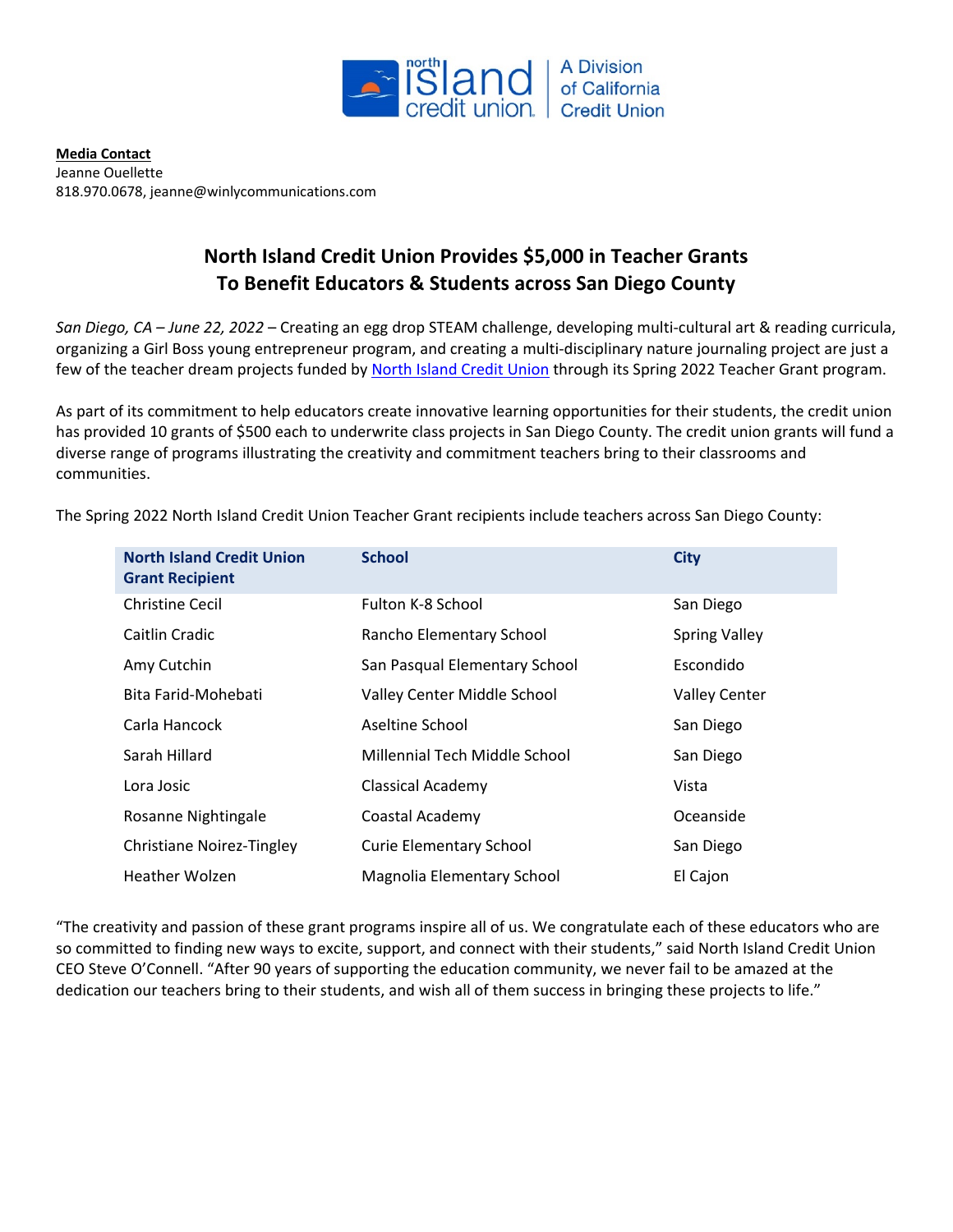

**Media Contact** Jeanne Ouellette 818.970.0678, jeanne@winlycommunications.com

## **North Island Credit Union Provides \$5,000 in Teacher Grants To Benefit Educators & Students across San Diego County**

*San Diego, CA – June 22, 2022* – Creating an egg drop STEAM challenge, developing multi-cultural art & reading curricula, organizing a Girl Boss young entrepreneur program, and creating a multi-disciplinary nature journaling project are just a few of the teacher dream projects funded by North Island [Credit Union](http://www.northisland.ccu.com/) through its Spring 2022 Teacher Grant program.

As part of its commitment to help educators create innovative learning opportunities for their students, the credit union has provided 10 grants of \$500 each to underwrite class projects in San Diego County. The credit union grants will fund a diverse range of programs illustrating the creativity and commitment teachers bring to their classrooms and communities.

| <b>North Island Credit Union</b><br><b>Grant Recipient</b> | <b>School</b>                  | <b>City</b>          |
|------------------------------------------------------------|--------------------------------|----------------------|
| <b>Christine Cecil</b>                                     | Fulton K-8 School              | San Diego            |
| Caitlin Cradic                                             | Rancho Elementary School       | <b>Spring Valley</b> |
| Amy Cutchin                                                | San Pasqual Elementary School  | Escondido            |
| Bita Farid-Mohebati                                        | Valley Center Middle School    | <b>Valley Center</b> |
| Carla Hancock                                              | Aseltine School                | San Diego            |
| Sarah Hillard                                              | Millennial Tech Middle School  | San Diego            |
| Lora Josic                                                 | <b>Classical Academy</b>       | Vista                |
| Rosanne Nightingale                                        | Coastal Academy                | Oceanside            |
| <b>Christiane Noirez-Tingley</b>                           | <b>Curie Elementary School</b> | San Diego            |
| <b>Heather Wolzen</b>                                      | Magnolia Elementary School     | El Cajon             |

The Spring 2022 North Island Credit Union Teacher Grant recipients include teachers across San Diego County:

"The creativity and passion of these grant programs inspire all of us. We congratulate each of these educators who are so committed to finding new ways to excite, support, and connect with their students," said North Island Credit Union CEO Steve O'Connell. "After 90 years of supporting the education community, we never fail to be amazed at the dedication our teachers bring to their students, and wish all of them success in bringing these projects to life."